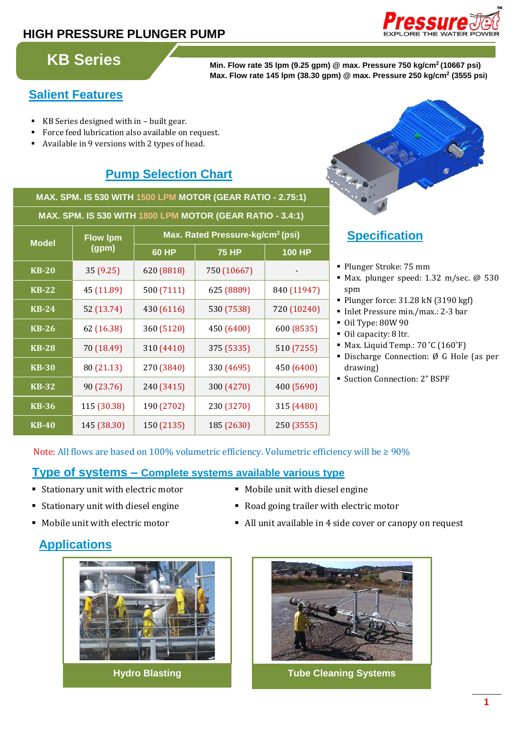# **HIGH PRESSURE PLUNGER PUMP**



**KB Series Min. Flow rate 35 lpm (9.25 gpm) @ max. Pressure 750 kg/cm<sup>2</sup> (10667 psi) Max. Flow rate 145 lpm (38.30 gpm) @ max. Pressure 250 kg/cm<sup>2</sup> (3555 psi)**

# **Salient Features**

- KB Series designed with in built gear.
- Force feed lubrication also available on request.
- Available in 9 versions with 2 types of head.

# **Pump Selection Chart**

**MAX. SPM. IS 530 WITH 1500 LPM MOTOR (GEAR RATIO - 2.75:1)**

| MAX. SPM. IS 530 WITH 1800 LPM MOTOR (GEAR RATIO - 3.4:1) |                          |                                              |              |               |
|-----------------------------------------------------------|--------------------------|----------------------------------------------|--------------|---------------|
| <b>Model</b>                                              | <b>Flow Ipm</b><br>(gpm) | Max. Rated Pressure-kg/cm <sup>2</sup> (psi) |              |               |
|                                                           |                          | <b>60 HP</b>                                 | <b>75 HP</b> | <b>100 HP</b> |
| <b>KB-20</b>                                              | 35 (9.25)                | 620 (8818)                                   | 750 (10667)  |               |
| <b>KB-22</b>                                              | 45 (11.89)               | 500 (7111)                                   | 625 (8889)   | 840 (11947)   |
| <b>KB-24</b>                                              | 52 (13.74)               | 430 (6116)                                   | 530 (7538)   | 720 (10240)   |
| <b>KB-26</b>                                              | 62 (16.38)               | 360 (5120)                                   | 450 (6400)   | 600 (8535)    |
| <b>KB-28</b>                                              | 70 (18.49)               | 310 (4410)                                   | 375 (5335)   | 510 (7255)    |
| <b>KB-30</b>                                              | 80 (21.13)               | 270 (3840)                                   | 330 (4695)   | 450 (6400)    |
| <b>KB-32</b>                                              | 90 (23.76)               | 240 (3415)                                   | 300 (4270)   | 400 (5690)    |
| $K\overline{B-36}$                                        | 115 (30.38)              | 190 (2702)                                   | 230 (3270)   | 315 (4480)    |
| <b>KB-40</b>                                              | 145 (38.30)              | 150 (2135)                                   | 185 (2630)   | 250 (3555)    |



# **Specification:**

- Plunger Stroke: 75 mm
- Max. plunger speed: 1.32 m/sec. @ 530 spm
- Plunger force: 31.28 kN (3190 kgf)
- Inlet Pressure min./max.: 2-3 bar
- Oil Type: 80W 90
- Oil capacity: 8 ltr.
- Max. Liquid Temp.: 70 °C (160°F)
- Discharge Connection: Ø G Hole (as per drawing)
- Suction Connection: 2" BSPF

### Note: All flows are based on 100% volumetric efficiency. Volumetric efficiency will be ≥ 90%

### **Type of systems – Complete systems available various type**

- Stationary unit with electric motor Mobile unit with diesel engine
- Stationary unit with diesel engine **Stationary unit with diesel engine** Road going trailer with electric motor
- 

# Mobile unit with electric motor **and**  $\blacksquare$  All unit available in 4 side cover or canopy on request

# **Applications**